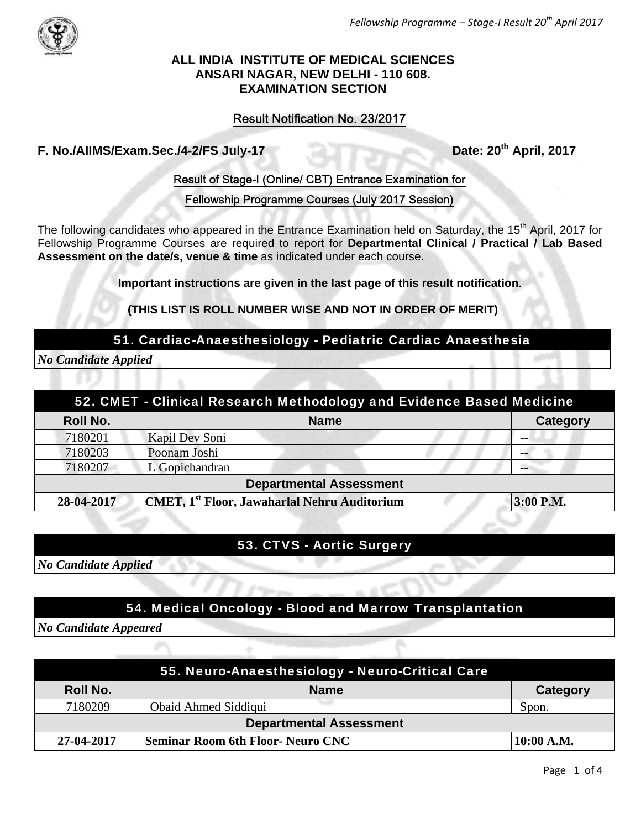

#### **ALL INDIA INSTITUTE OF MEDICAL SCIENCES ANSARI NAGAR, NEW DELHI - 110 608. EXAMINATION SECTION**

### Result Notification No. 23/2017

## F. No./AIIMS/Exam.Sec./4-2/FS July-17 Date: 20<sup>th</sup> April, 2017

#### Result of Stage-I (Online/ CBT) Entrance Examination for

Fellowship Programme Courses (July 2017 Session)

The following candidates who appeared in the Entrance Examination held on Saturday, the 15<sup>th</sup> April, 2017 for Fellowship Programme Courses are required to report for **Departmental Clinical / Practical / Lab Based Assessment on the date/s, venue & time** as indicated under each course.

**Important instructions are given in the last page of this result notification**.

**(THIS LIST IS ROLL NUMBER WISE AND NOT IN ORDER OF MERIT)** 

#### 51. Cardiac-Anaesthesiology - Pediatric Cardiac Anaesthesia

*No Candidate Applied* 

| 52. CMET - Clinical Research Methodology and Evidence Based Medicine |                                                     |                 |  |
|----------------------------------------------------------------------|-----------------------------------------------------|-----------------|--|
| <b>Roll No.</b>                                                      | <b>Name</b>                                         | <b>Category</b> |  |
| 7180201                                                              | Kapil Dev Soni                                      |                 |  |
| 7180203                                                              | Poonam Joshi                                        |                 |  |
| 7180207                                                              | L Gopichandran                                      |                 |  |
| <b>Departmental Assessment</b>                                       |                                                     |                 |  |
| 28-04-2017                                                           | <b>CMET, 1st Floor, Jawaharlal Nehru Auditorium</b> | 3:00 P.M.       |  |

#### 53. CTVS - Aortic Surgery

*No Candidate Applied*

#### 54. Medical Oncology - Blood and Marrow Transplantation

*No Candidate Appeared*

| 55. Neuro-Anaesthesiology - Neuro-Critical Care |                                          |              |
|-------------------------------------------------|------------------------------------------|--------------|
| Roll No.                                        | <b>Name</b>                              | Category     |
| 7180209                                         | <b>Obaid Ahmed Siddiqui</b>              | Spon.        |
| <b>Departmental Assessment</b>                  |                                          |              |
| 27-04-2017                                      | <b>Seminar Room 6th Floor- Neuro CNC</b> | $10:00$ A.M. |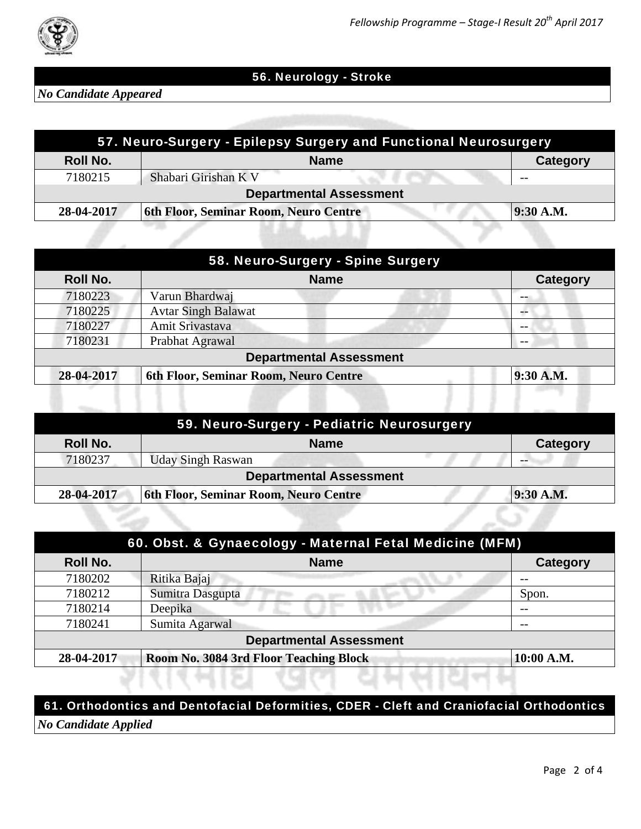

## 56. Neurology - Stroke

*No Candidate Appeared* 

| 57. Neuro-Surgery - Epilepsy Surgery and Functional Neurosurgery |                                              |             |           |
|------------------------------------------------------------------|----------------------------------------------|-------------|-----------|
| Roll No.                                                         |                                              | <b>Name</b> | Category  |
| 7180215                                                          | Shabari Girishan K V                         |             | $ -$      |
| <b>Departmental Assessment</b>                                   |                                              |             |           |
| 28-04-2017                                                       | <b>6th Floor, Seminar Room, Neuro Centre</b> |             | 9:30 A.M. |

| <b>Roll No.</b> | <b>Name</b>                           | Category  |
|-----------------|---------------------------------------|-----------|
| 7180223         | Varun Bhardwaj                        |           |
| 7180225         | <b>Avtar Singh Balawat</b>            | --        |
| 7180227         | Amit Srivastava                       | --        |
| 7180231         | Prabhat Agrawal                       | $- -$     |
|                 | <b>Departmental Assessment</b>        |           |
| 28-04-2017      | 6th Floor, Seminar Room, Neuro Centre | 9:30 A.M. |

| 59. Neuro-Surgery - Pediatric Neurosurgery |                                                    |                 |  |  |
|--------------------------------------------|----------------------------------------------------|-----------------|--|--|
| <b>Roll No.</b>                            | <b>Name</b>                                        | <b>Category</b> |  |  |
| 7180237                                    | <b>Uday Singh Raswan</b>                           |                 |  |  |
| <b>Departmental Assessment</b>             |                                                    |                 |  |  |
| 28-04-2017                                 | 6th Floor, Seminar Room, Neuro Centre<br>9:30 A.M. |                 |  |  |
|                                            |                                                    |                 |  |  |

| 60. Obst. & Gynaecology - Maternal Fetal Medicine (MFM) |                                        |                 |
|---------------------------------------------------------|----------------------------------------|-----------------|
| <b>Roll No.</b>                                         | <b>Name</b>                            | <b>Category</b> |
| 7180202                                                 | Ritika Bajaj                           |                 |
| 7180212                                                 | Sumitra Dasgupta                       | Spon.           |
| 7180214                                                 | Deepika                                |                 |
| 7180241                                                 | Sumita Agarwal                         | $- -$           |
| <b>Departmental Assessment</b>                          |                                        |                 |
| 28-04-2017                                              | Room No. 3084 3rd Floor Teaching Block | 10:00 A.M.      |

#### 61. Orthodontics and Dentofacial Deformities, CDER - Cleft and Craniofacial Orthodontics

gar n

*No Candidate Applied*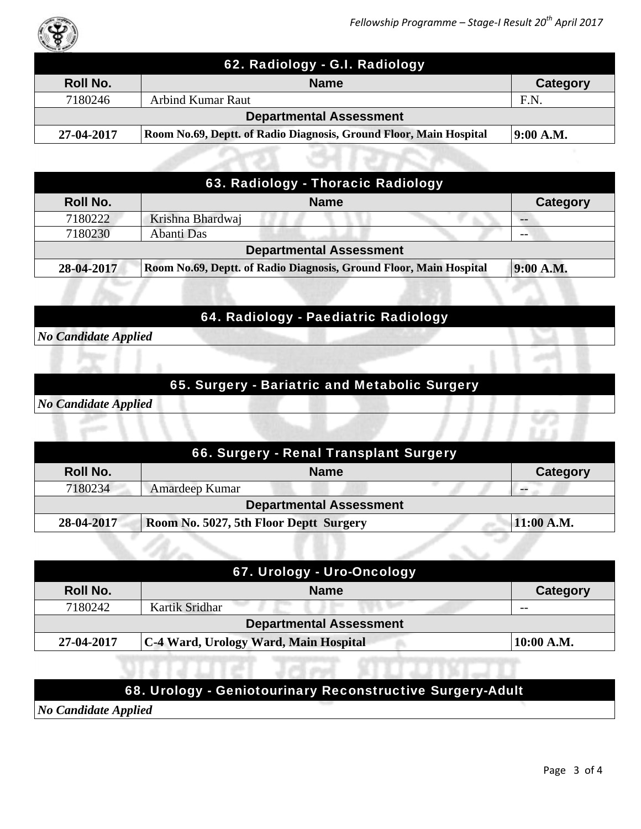

| 62. Radiology - G.I. Radiology |                                                                    |           |
|--------------------------------|--------------------------------------------------------------------|-----------|
| <b>Roll No.</b>                | <b>Name</b>                                                        | Category  |
| 7180246                        | <b>Arbind Kumar Raut</b>                                           | F.N       |
| <b>Departmental Assessment</b> |                                                                    |           |
| 27-04-2017                     | Room No.69, Deptt. of Radio Diagnosis, Ground Floor, Main Hospital | 9:00 A.M. |

| 63. Radiology - Thoracic Radiology                                                            |                  |                 |  |
|-----------------------------------------------------------------------------------------------|------------------|-----------------|--|
| Roll No.                                                                                      | <b>Name</b>      | <b>Category</b> |  |
| 7180222                                                                                       | Krishna Bhardwaj |                 |  |
| 7180230                                                                                       | Abanti Das       | $- -$           |  |
| <b>Departmental Assessment</b>                                                                |                  |                 |  |
| 9:00 A.M.<br>Room No.69, Deptt. of Radio Diagnosis, Ground Floor, Main Hospital<br>28-04-2017 |                  |                 |  |

## 64. Radiology - Paediatric Radiology

*No Candidate Applied*

## 65. Surgery - Bariatric and Metabolic Surgery

*No Candidate Applied*

| 66. Surgery - Renal Transplant Surgery |                                        |  |            |
|----------------------------------------|----------------------------------------|--|------------|
| Roll No.                               | <b>Name</b>                            |  | Category   |
| 7180234                                | Amardeep Kumar                         |  |            |
| <b>Departmental Assessment</b>         |                                        |  |            |
| 28-04-2017                             | Room No. 5027, 5th Floor Deptt Surgery |  | 11:00 A.M. |

| 67. Urology - Uro-Oncology     |                                              |            |  |
|--------------------------------|----------------------------------------------|------------|--|
| Roll No.                       | <b>Name</b>                                  | Category   |  |
| 7180242                        | --<br>Kartik Sridhar                         | $- -$      |  |
| <b>Departmental Assessment</b> |                                              |            |  |
| 27-04-2017                     | <b>C-4 Ward, Urology Ward, Main Hospital</b> | 10:00 A.M. |  |

# 68. Urology - Geniotourinary Reconstructive Surgery-Adult

*No Candidate Applied*

1 2 且